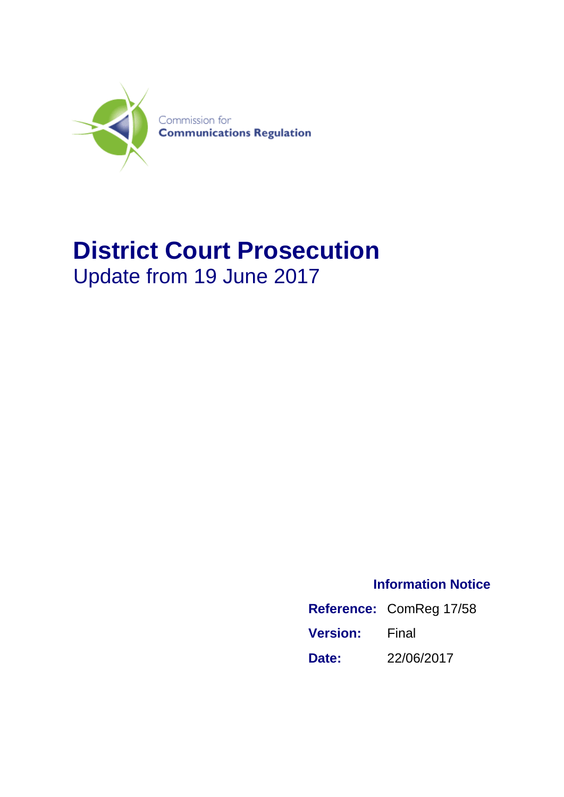

## **District Court Prosecution** Update from 19 June 2017

**Information Notice**

|                 | Reference: ComReg 17/58 |
|-----------------|-------------------------|
| <b>Version:</b> | Final                   |
| Date:           | 22/06/2017              |